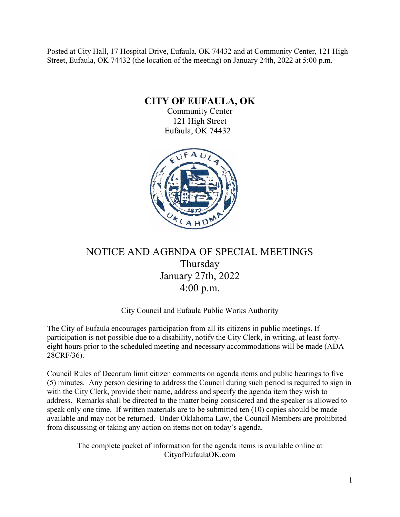Posted at City Hall, 17 Hospital Drive, Eufaula, OK 74432 and at Community Center, 121 High Street, Eufaula, OK 74432 (the location of the meeting) on January 24th, 2022 at 5:00 p.m.

**CITY OF EUFAULA, OK**

Community Center 121 High Street Eufaula, OK 74432



# NOTICE AND AGENDA OF SPECIAL MEETINGS Thursday January 27th, 2022 4:00 p.m.

### City Council and Eufaula Public Works Authority

The City of Eufaula encourages participation from all its citizens in public meetings. If participation is not possible due to a disability, notify the City Clerk, in writing, at least fortyeight hours prior to the scheduled meeting and necessary accommodations will be made (ADA 28CRF/36).

Council Rules of Decorum limit citizen comments on agenda items and public hearings to five (5) minutes. Any person desiring to address the Council during such period is required to sign in with the City Clerk, provide their name, address and specify the agenda item they wish to address. Remarks shall be directed to the matter being considered and the speaker is allowed to speak only one time. If written materials are to be submitted ten (10) copies should be made available and may not be returned. Under Oklahoma Law, the Council Members are prohibited from discussing or taking any action on items not on today's agenda.

> The complete packet of information for the agenda items is available online at CityofEufaulaOK.com